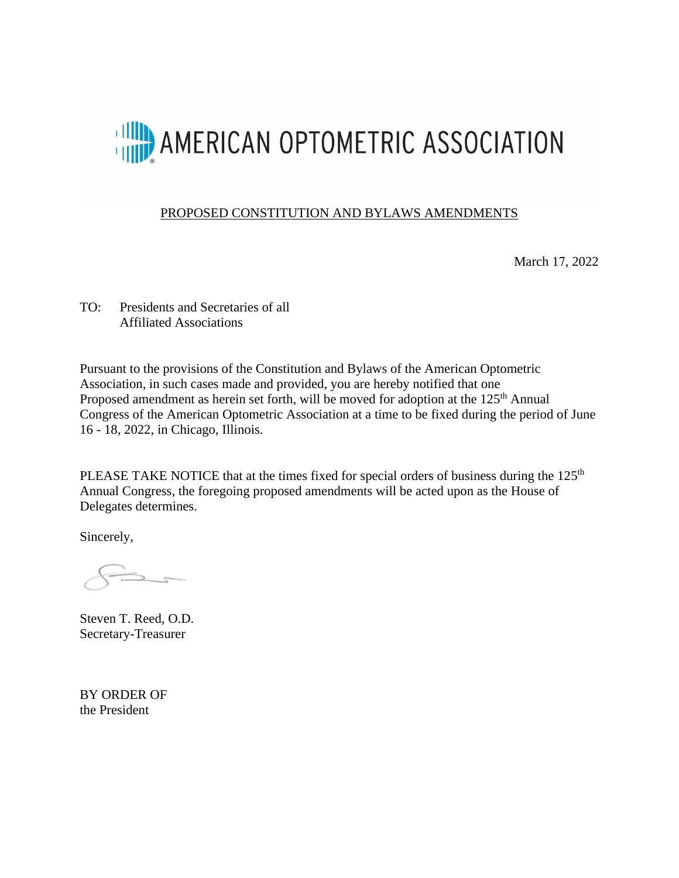

## PROPOSED CONSTITUTION AND BYLAWS AMENDMENTS

March 17, 2022

TO: Presidents and Secretaries of all Affiliated Associations

Pursuant to the provisions of the Constitution and Bylaws of the American Optometric Association, in such cases made and provided, you are hereby notified that one Proposed amendment as herein set forth, will be moved for adoption at the 125<sup>th</sup> Annual Congress of the American Optometric Association at a time to be fixed during the period of June 16 - 18, 2022, in Chicago, Illinois.

PLEASE TAKE NOTICE that at the times fixed for special orders of business during the 125<sup>th</sup> Annual Congress, the foregoing proposed amendments will be acted upon as the House of Delegates determines.

Sincerely,

Steven T. Reed, O.D. Secretary-Treasurer

BY ORDER OF the President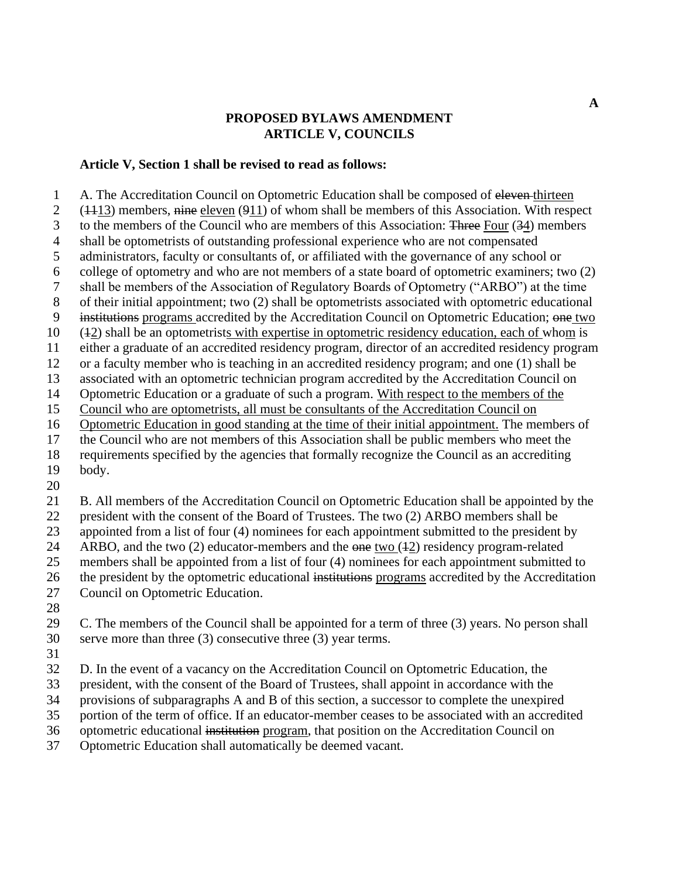## **PROPOSED BYLAWS AMENDMENT ARTICLE V, COUNCILS**

## **Article V, Section 1 shall be revised to read as follows:**

 A. The Accreditation Council on Optometric Education shall be composed of eleven thirteen 2 ( $\frac{(1113)}{2}$  members, nine eleven ( $\frac{911}{2}$ ) of whom shall be members of this Association. With respect 3 to the members of the Council who are members of this Association: Three Four (34) members shall be optometrists of outstanding professional experience who are not compensated administrators, faculty or consultants of, or affiliated with the governance of any school or college of optometry and who are not members of a state board of optometric examiners; two (2) shall be members of the Association of Regulatory Boards of Optometry ("ARBO") at the time of their initial appointment; two (2) shall be optometrists associated with optometric educational institutions programs accredited by the Accreditation Council on Optometric Education; one two (12) shall be an optometrists with expertise in optometric residency education, each of whom is either a graduate of an accredited residency program, director of an accredited residency program or a faculty member who is teaching in an accredited residency program; and one (1) shall be associated with an optometric technician program accredited by the Accreditation Council on Optometric Education or a graduate of such a program. With respect to the members of the Council who are optometrists, all must be consultants of the Accreditation Council on Optometric Education in good standing at the time of their initial appointment. The members of the Council who are not members of this Association shall be public members who meet the requirements specified by the agencies that formally recognize the Council as an accrediting body. B. All members of the Accreditation Council on Optometric Education shall be appointed by the president with the consent of the Board of Trustees. The two (2) ARBO members shall be

appointed from a list of four (4) nominees for each appointment submitted to the president by

24 ARBO, and the two (2) educator-members and the one two (42) residency program-related

members shall be appointed from a list of four (4) nominees for each appointment submitted to

26 the president by the optometric educational institutions programs accredited by the Accreditation

Council on Optometric Education.

 C. The members of the Council shall be appointed for a term of three (3) years. No person shall serve more than three (3) consecutive three (3) year terms.

D. In the event of a vacancy on the Accreditation Council on Optometric Education, the

president, with the consent of the Board of Trustees, shall appoint in accordance with the

provisions of subparagraphs A and B of this section, a successor to complete the unexpired

portion of the term of office. If an educator-member ceases to be associated with an accredited

optometric educational institution program, that position on the Accreditation Council on

Optometric Education shall automatically be deemed vacant.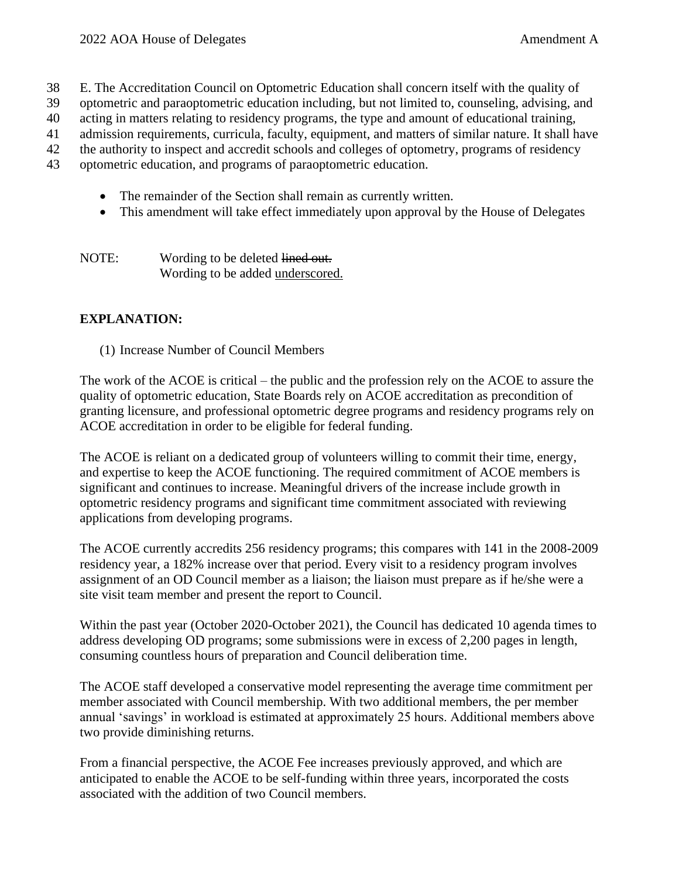- 38 E. The Accreditation Council on Optometric Education shall concern itself with the quality of
- 39 optometric and paraoptometric education including, but not limited to, counseling, advising, and
- 40 acting in matters relating to residency programs, the type and amount of educational training,

41 admission requirements, curricula, faculty, equipment, and matters of similar nature. It shall have

- 42 the authority to inspect and accredit schools and colleges of optometry, programs of residency
- 43 optometric education, and programs of paraoptometric education.
	- The remainder of the Section shall remain as currently written.
	- This amendment will take effect immediately upon approval by the House of Delegates
	- NOTE: Wording to be deleted lined out. Wording to be added underscored.

## **EXPLANATION:**

(1) Increase Number of Council Members

The work of the ACOE is critical – the public and the profession rely on the ACOE to assure the quality of optometric education, State Boards rely on ACOE accreditation as precondition of granting licensure, and professional optometric degree programs and residency programs rely on ACOE accreditation in order to be eligible for federal funding.

The ACOE is reliant on a dedicated group of volunteers willing to commit their time, energy, and expertise to keep the ACOE functioning. The required commitment of ACOE members is significant and continues to increase. Meaningful drivers of the increase include growth in optometric residency programs and significant time commitment associated with reviewing applications from developing programs.

The ACOE currently accredits 256 residency programs; this compares with 141 in the 2008-2009 residency year, a 182% increase over that period. Every visit to a residency program involves assignment of an OD Council member as a liaison; the liaison must prepare as if he/she were a site visit team member and present the report to Council.

Within the past year (October 2020-October 2021), the Council has dedicated 10 agenda times to address developing OD programs; some submissions were in excess of 2,200 pages in length, consuming countless hours of preparation and Council deliberation time.

The ACOE staff developed a conservative model representing the average time commitment per member associated with Council membership. With two additional members, the per member annual 'savings' in workload is estimated at approximately 25 hours. Additional members above two provide diminishing returns.

From a financial perspective, the ACOE Fee increases previously approved, and which are anticipated to enable the ACOE to be self-funding within three years, incorporated the costs associated with the addition of two Council members.